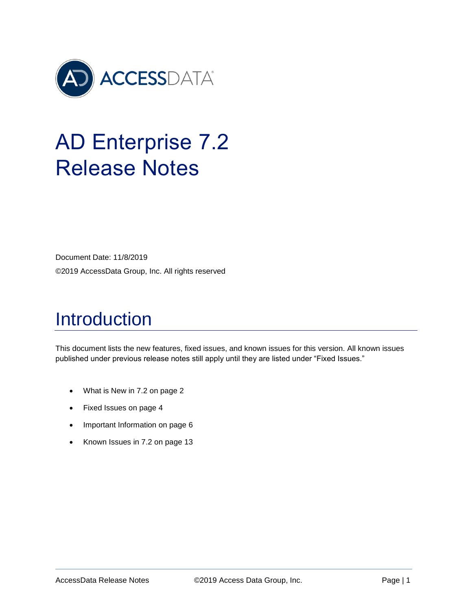

# AD Enterprise 7.2 Release Notes

Document Date: 11/8/2019 ©2019 AccessData Group, Inc. All rights reserved

# Introduction

This document lists the new features, fixed issues, and known issues for this version. All known issues published under previous release notes still apply until they are listed under "Fixed Issues."

- [What is New in 7.2](#page-1-0) on page [2](#page-1-0)
- [Fixed Issues](#page-3-0) on page [4](#page-3-0)
- [Important Information](#page-5-0) on page [6](#page-5-0)
- [Known Issues in 7.2](#page-12-0) on page [13](#page-12-0)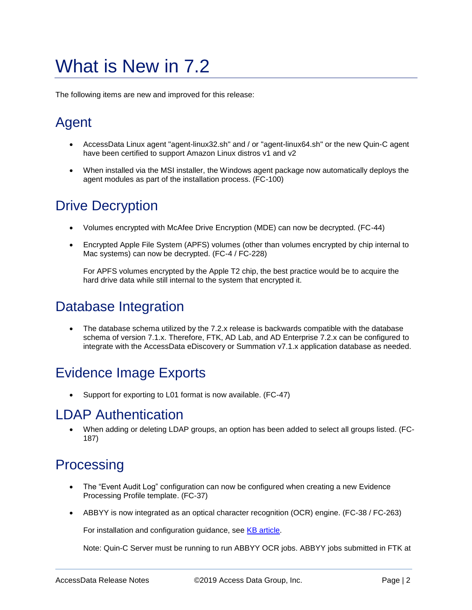# <span id="page-1-0"></span>What is New in 7.2

The following items are new and improved for this release:

# Agent

- AccessData Linux agent "agent-linux32.sh" and / or "agent-linux64.sh" or the new Quin-C agent have been certified to support Amazon Linux distros v1 and v2
- When installed via the MSI installer, the Windows agent package now automatically deploys the agent modules as part of the installation process. (FC-100)

## Drive Decryption

- Volumes encrypted with McAfee Drive Encryption (MDE) can now be decrypted. (FC-44)
- Encrypted Apple File System (APFS) volumes (other than volumes encrypted by chip internal to Mac systems) can now be decrypted. (FC-4 / FC-228)

For APFS volumes encrypted by the Apple T2 chip, the best practice would be to acquire the hard drive data while still internal to the system that encrypted it.

# Database Integration

 The database schema utilized by the 7.2.x release is backwards compatible with the database schema of version 7.1.x. Therefore, FTK, AD Lab, and AD Enterprise 7.2.x can be configured to integrate with the AccessData eDiscovery or Summation v7.1.x application database as needed.

# Evidence Image Exports

Support for exporting to L01 format is now available. (FC-47)

### LDAP Authentication

 When adding or deleting LDAP groups, an option has been added to select all groups listed. (FC-187)

### **Processing**

- The "Event Audit Log" configuration can now be configured when creating a new Evidence Processing Profile template. (FC-37)
- ABBYY is now integrated as an optical character recognition (OCR) engine. (FC-38 / FC-263)

For installation and configuration guidance, see [KB article.](https://support.accessdata.com/hc/en-us/articles/360037136414-How-to-Install-and-Configure-ABBYY-for-Quin-C-FTK)

Note: Quin-C Server must be running to run ABBYY OCR jobs. ABBYY jobs submitted in FTK at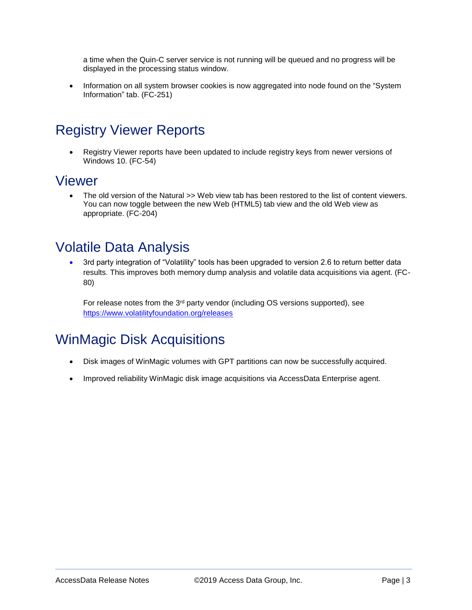a time when the Quin-C server service is not running will be queued and no progress will be displayed in the processing status window.

• Information on all system browser cookies is now aggregated into node found on the "System" Information" tab. (FC-251)

# Registry Viewer Reports

 Registry Viewer reports have been updated to include registry keys from newer versions of Windows 10. (FC-54)

### Viewer

 The old version of the Natural >> Web view tab has been restored to the list of content viewers. You can now toggle between the new Web (HTML5) tab view and the old Web view as appropriate. (FC-204)

### Volatile Data Analysis

 3rd party integration of "Volatility" tools has been upgraded to version 2.6 to return better data results. This improves both memory dump analysis and volatile data acquisitions via agent. (FC-80)

For release notes from the  $3<sup>rd</sup>$  party vendor (including OS versions supported), see <https://www.volatilityfoundation.org/releases>

# WinMagic Disk Acquisitions

- Disk images of WinMagic volumes with GPT partitions can now be successfully acquired.
- Improved reliability WinMagic disk image acquisitions via AccessData Enterprise agent.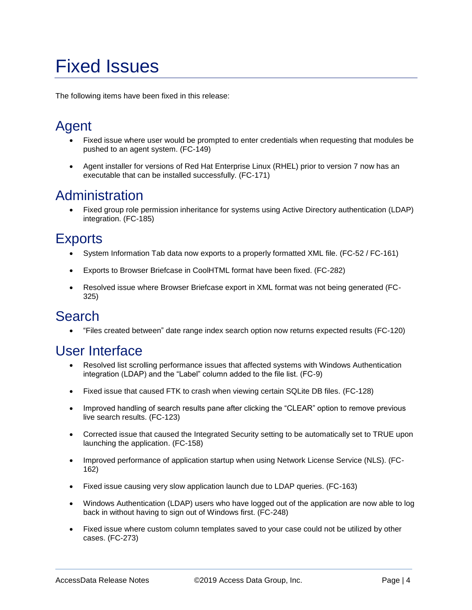# <span id="page-3-0"></span>Fixed Issues

The following items have been fixed in this release:

# Agent

- Fixed issue where user would be prompted to enter credentials when requesting that modules be pushed to an agent system. (FC-149)
- Agent installer for versions of Red Hat Enterprise Linux (RHEL) prior to version 7 now has an executable that can be installed successfully. (FC-171)

### Administration

 Fixed group role permission inheritance for systems using Active Directory authentication (LDAP) integration. (FC-185)

### **Exports**

- System Information Tab data now exports to a properly formatted XML file. (FC-52 / FC-161)
- Exports to Browser Briefcase in CoolHTML format have been fixed. (FC-282)
- Resolved issue where Browser Briefcase export in XML format was not being generated (FC-325)

### **Search**

"Files created between" date range index search option now returns expected results (FC-120)

### User Interface

- Resolved list scrolling performance issues that affected systems with Windows Authentication integration (LDAP) and the "Label" column added to the file list. (FC-9)
- Fixed issue that caused FTK to crash when viewing certain SQLite DB files. (FC-128)
- Improved handling of search results pane after clicking the "CLEAR" option to remove previous live search results. (FC-123)
- Corrected issue that caused the Integrated Security setting to be automatically set to TRUE upon launching the application. (FC-158)
- Improved performance of application startup when using Network License Service (NLS). (FC-162)
- Fixed issue causing very slow application launch due to LDAP queries. (FC-163)
- Windows Authentication (LDAP) users who have logged out of the application are now able to log back in without having to sign out of Windows first. (FC-248)
- Fixed issue where custom column templates saved to your case could not be utilized by other cases. (FC-273)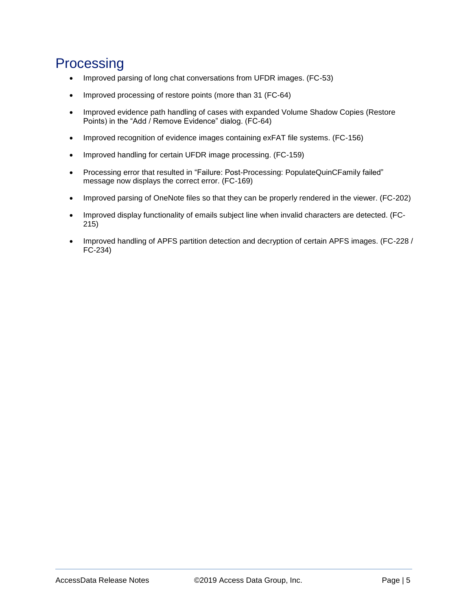## Processing

- Improved parsing of long chat conversations from UFDR images. (FC-53)
- Improved processing of restore points (more than 31 (FC-64)
- Improved evidence path handling of cases with expanded Volume Shadow Copies (Restore Points) in the "Add / Remove Evidence" dialog. (FC-64)
- Improved recognition of evidence images containing exFAT file systems. (FC-156)
- Improved handling for certain UFDR image processing. (FC-159)
- Processing error that resulted in "Failure: Post-Processing: PopulateQuinCFamily failed" message now displays the correct error. (FC-169)
- Improved parsing of OneNote files so that they can be properly rendered in the viewer. (FC-202)
- Improved display functionality of emails subject line when invalid characters are detected. (FC-215)
- Improved handling of APFS partition detection and decryption of certain APFS images. (FC-228 / FC-234)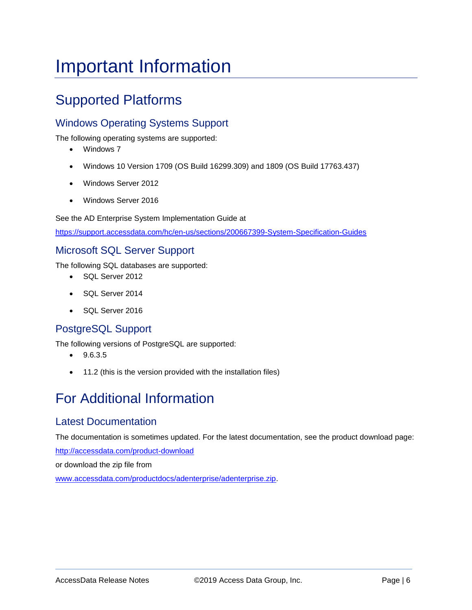# <span id="page-5-0"></span>Important Information

# Supported Platforms

#### Windows Operating Systems Support

The following operating systems are supported:

- Windows 7
- Windows 10 Version 1709 (OS Build 16299.309) and 1809 (OS Build 17763.437)
- Windows Server 2012
- Windows Server 2016

See the AD Enterprise System Implementation Guide at

<https://support.accessdata.com/hc/en-us/sections/200667399-System-Specification-Guides>

#### Microsoft SQL Server Support

The following SQL databases are supported:

- SQL Server 2012
- SQL Server 2014
- SQL Server 2016

#### PostgreSQL Support

The following versions of PostgreSQL are supported:

- $-9.6.3.5$
- 11.2 (this is the version provided with the installation files)

# For Additional Information

#### Latest Documentation

The documentation is sometimes updated. For the latest documentation, see the product download page:

<http://accessdata.com/product-download>

or download the zip file from

[www.accessdata.com/productdocs/adenterprise/adenterprise.zip.](file://///buildstore/documentation/Working_Copy/Forensics/FTK_Lab_Pro_Ent/Current/7.x/Release_Notes/7_1/www.accessdata.com/productdocs/adenterprise/adenterprise.zip)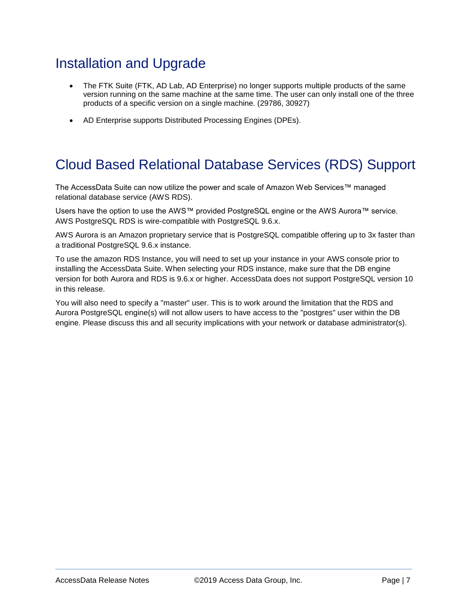# Installation and Upgrade

- The FTK Suite (FTK, AD Lab, AD Enterprise) no longer supports multiple products of the same version running on the same machine at the same time. The user can only install one of the three products of a specific version on a single machine. (29786, 30927)
- AD Enterprise supports Distributed Processing Engines (DPEs).

### Cloud Based Relational Database Services (RDS) Support

The AccessData Suite can now utilize the power and scale of Amazon Web Services™ managed relational database service (AWS RDS).

Users have the option to use the AWS™ provided PostgreSQL engine or the AWS Aurora™ service. AWS PostgreSQL RDS is wire-compatible with PostgreSQL 9.6.x.

AWS Aurora is an Amazon proprietary service that is PostgreSQL compatible offering up to 3x faster than a traditional PostgreSQL 9.6.x instance.

To use the amazon RDS Instance, you will need to set up your instance in your AWS console prior to installing the AccessData Suite. When selecting your RDS instance, make sure that the DB engine version for both Aurora and RDS is 9.6.x or higher. AccessData does not support PostgreSQL version 10 in this release.

You will also need to specify a "master" user. This is to work around the limitation that the RDS and Aurora PostgreSQL engine(s) will not allow users to have access to the "postgres" user within the DB engine. Please discuss this and all security implications with your network or database administrator(s).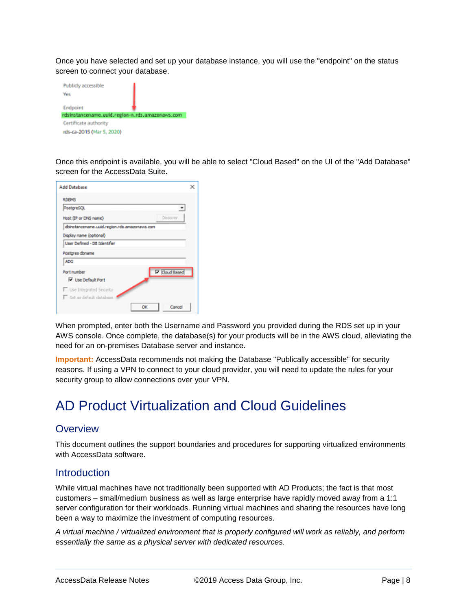Once you have selected and set up your database instance, you will use the "endpoint" on the status screen to connect your database.



Once this endpoint is available, you will be able to select "Cloud Based" on the UI of the "Add Database" screen for the AccessData Suite.

| <b>Add Database</b>                           |                       |  |
|-----------------------------------------------|-----------------------|--|
| <b>RDEMS</b>                                  |                       |  |
| PostgreSQL                                    | v                     |  |
| Host (IP or DNS name)                         | Discover              |  |
| dbinstancename.uuid.region.rds.amazonavis.com |                       |  |
| Display name (optional)                       |                       |  |
| Uper Defined - DB Identifier                  |                       |  |
| Postgres doname                               |                       |  |
| ADG.                                          |                       |  |
| Port number                                   | <b>IV</b> Cloud Based |  |
| V Use Default Port                            |                       |  |
| Use Integrated Security                       |                       |  |
| <sup>1</sup> Set as default database          |                       |  |
| οĸ                                            | Cancel                |  |

When prompted, enter both the Username and Password you provided during the RDS set up in your AWS console. Once complete, the database(s) for your products will be in the AWS cloud, alleviating the need for an on-premises Database server and instance.

**Important:** AccessData recommends not making the Database "Publically accessible" for security reasons. If using a VPN to connect to your cloud provider, you will need to update the rules for your security group to allow connections over your VPN.

### AD Product Virtualization and Cloud Guidelines

#### **Overview**

This document outlines the support boundaries and procedures for supporting virtualized environments with AccessData software.

#### **Introduction**

While virtual machines have not traditionally been supported with AD Products; the fact is that most customers – small/medium business as well as large enterprise have rapidly moved away from a 1:1 server configuration for their workloads. Running virtual machines and sharing the resources have long been a way to maximize the investment of computing resources.

*A virtual machine / virtualized environment that is properly configured will work as reliably, and perform essentially the same as a physical server with dedicated resources.*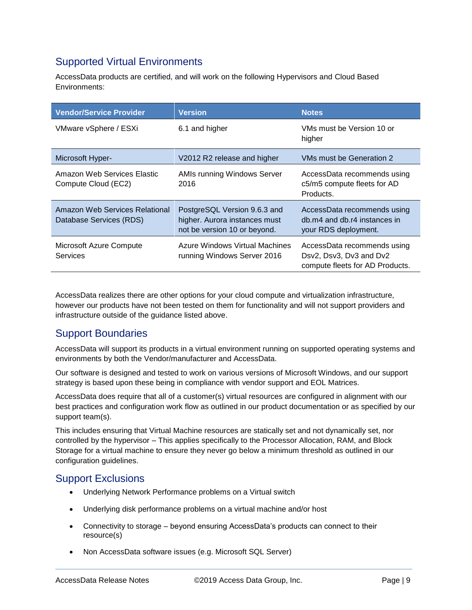#### Supported Virtual Environments

AccessData products are certified, and will work on the following Hypervisors and Cloud Based Environments:

| <b>Vendor/Service Provider</b>                            | <b>Version</b>                                                                                | <b>Notes</b>                                                                              |
|-----------------------------------------------------------|-----------------------------------------------------------------------------------------------|-------------------------------------------------------------------------------------------|
| VMware vSphere / ESXi                                     | 6.1 and higher                                                                                | VMs must be Version 10 or<br>higher                                                       |
| Microsoft Hyper-                                          | V2012 R2 release and higher                                                                   | <b>VMs must be Generation 2</b>                                                           |
| Amazon Web Services Elastic<br>Compute Cloud (EC2)        | AMIs running Windows Server<br>2016                                                           | AccessData recommends using<br>c5/m5 compute fleets for AD<br>Products.                   |
| Amazon Web Services Relational<br>Database Services (RDS) | PostgreSQL Version 9.6.3 and<br>higher. Aurora instances must<br>not be version 10 or beyond. | AccessData recommends using<br>db.m4 and db.r4 instances in<br>your RDS deployment.       |
| Microsoft Azure Compute<br>Services                       | Azure Windows Virtual Machines<br>running Windows Server 2016                                 | AccessData recommends using<br>Dsv2, Dsv3, Dv3 and Dv2<br>compute fleets for AD Products. |

AccessData realizes there are other options for your cloud compute and virtualization infrastructure, however our products have not been tested on them for functionality and will not support providers and infrastructure outside of the guidance listed above.

#### Support Boundaries

AccessData will support its products in a virtual environment running on supported operating systems and environments by both the Vendor/manufacturer and AccessData.

Our software is designed and tested to work on various versions of Microsoft Windows, and our support strategy is based upon these being in compliance with vendor support and EOL Matrices.

AccessData does require that all of a customer(s) virtual resources are configured in alignment with our best practices and configuration work flow as outlined in our product documentation or as specified by our support team(s).

This includes ensuring that Virtual Machine resources are statically set and not dynamically set, nor controlled by the hypervisor – This applies specifically to the Processor Allocation, RAM, and Block Storage for a virtual machine to ensure they never go below a minimum threshold as outlined in our configuration guidelines.

#### Support Exclusions

- Underlying Network Performance problems on a Virtual switch
- Underlying disk performance problems on a virtual machine and/or host
- Connectivity to storage beyond ensuring AccessData's products can connect to their resource(s)
- Non AccessData software issues (e.g. Microsoft SQL Server)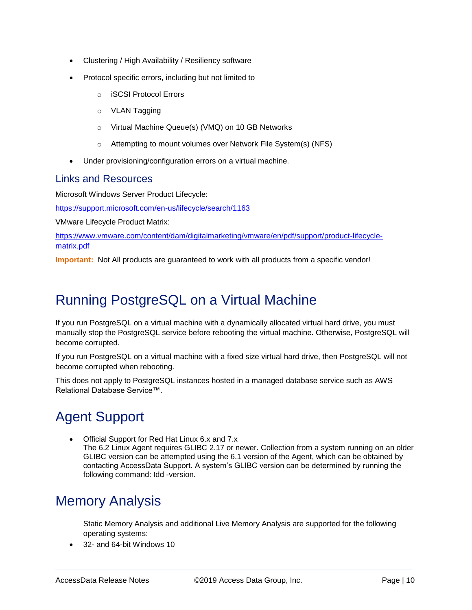- Clustering / High Availability / Resiliency software
- Protocol specific errors, including but not limited to
	- o iSCSI Protocol Errors
	- o VLAN Tagging
	- o Virtual Machine Queue(s) (VMQ) on 10 GB Networks
	- o Attempting to mount volumes over Network File System(s) (NFS)
- Under provisioning/configuration errors on a virtual machine.

#### Links and Resources

Microsoft Windows Server Product Lifecycle:

<https://support.microsoft.com/en-us/lifecycle/search/1163>

VMware Lifecycle Product Matrix:

[https://www.vmware.com/content/dam/digitalmarketing/vmware/en/pdf/support/product-lifecycle](https://www.vmware.com/content/dam/digitalmarketing/vmware/en/pdf/support/product-lifecycle-matrix.pdf)[matrix.pdf](https://www.vmware.com/content/dam/digitalmarketing/vmware/en/pdf/support/product-lifecycle-matrix.pdf)

**Important:** Not All products are guaranteed to work with all products from a specific vendor!

## Running PostgreSQL on a Virtual Machine

If you run PostgreSQL on a virtual machine with a dynamically allocated virtual hard drive, you must manually stop the PostgreSQL service before rebooting the virtual machine. Otherwise, PostgreSQL will become corrupted.

If you run PostgreSQL on a virtual machine with a fixed size virtual hard drive, then PostgreSQL will not become corrupted when rebooting.

This does not apply to PostgreSQL instances hosted in a managed database service such as AWS Relational Database Service™.

# Agent Support

 Official Support for Red Hat Linux 6.x and 7.x The 6.2 Linux Agent requires GLIBC 2.17 or newer. Collection from a system running on an older GLIBC version can be attempted using the 6.1 version of the Agent, which can be obtained by contacting AccessData Support. A system's GLIBC version can be determined by running the following command: Idd -version.

### Memory Analysis

Static Memory Analysis and additional Live Memory Analysis are supported for the following operating systems:

32- and 64-bit Windows 10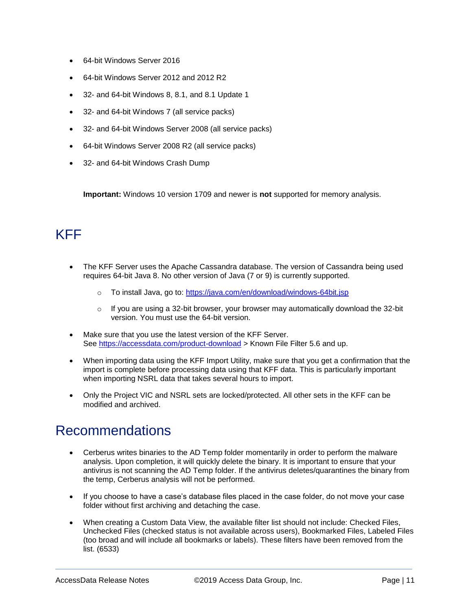- 64-bit Windows Server 2016
- 64-bit Windows Server 2012 and 2012 R2
- 32- and 64-bit Windows 8, 8.1, and 8.1 Update 1
- 32- and 64-bit Windows 7 (all service packs)
- 32- and 64-bit Windows Server 2008 (all service packs)
- 64-bit Windows Server 2008 R2 (all service packs)
- 32- and 64-bit Windows Crash Dump

**Important:** Windows 10 version 1709 and newer is **not** supported for memory analysis.

### KFF

- The KFF Server uses the Apache Cassandra database. The version of Cassandra being used requires 64-bit Java 8. No other version of Java (7 or 9) is currently supported.
	- o To install Java, go to:<https://java.com/en/download/windows-64bit.jsp>
	- $\circ$  If you are using a 32-bit browser, your browser may automatically download the 32-bit version. You must use the 64-bit version.
- Make sure that you use the latest version of the KFF Server. See<https://accessdata.com/product-download> > Known File Filter 5.6 and up.
- When importing data using the KFF Import Utility, make sure that you get a confirmation that the import is complete before processing data using that KFF data. This is particularly important when importing NSRL data that takes several hours to import.
- Only the Project VIC and NSRL sets are locked/protected. All other sets in the KFF can be modified and archived.

### Recommendations

- Cerberus writes binaries to the AD Temp folder momentarily in order to perform the malware analysis. Upon completion, it will quickly delete the binary. It is important to ensure that your antivirus is not scanning the AD Temp folder. If the antivirus deletes/quarantines the binary from the temp, Cerberus analysis will not be performed.
- If you choose to have a case's database files placed in the case folder, do not move your case folder without first archiving and detaching the case.
- When creating a Custom Data View, the available filter list should not include: Checked Files, Unchecked Files (checked status is not available across users), Bookmarked Files, Labeled Files (too broad and will include all bookmarks or labels). These filters have been removed from the list. (6533)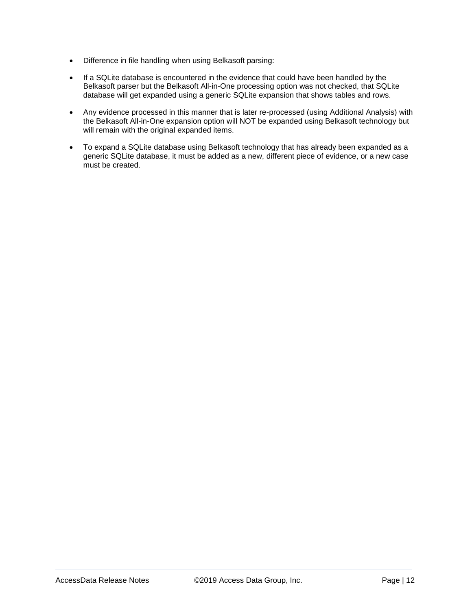- Difference in file handling when using Belkasoft parsing:
- If a SQLite database is encountered in the evidence that could have been handled by the Belkasoft parser but the Belkasoft All-in-One processing option was not checked, that SQLite database will get expanded using a generic SQLite expansion that shows tables and rows.
- Any evidence processed in this manner that is later re-processed (using Additional Analysis) with the Belkasoft All-in-One expansion option will NOT be expanded using Belkasoft technology but will remain with the original expanded items.
- To expand a SQLite database using Belkasoft technology that has already been expanded as a generic SQLite database, it must be added as a new, different piece of evidence, or a new case must be created.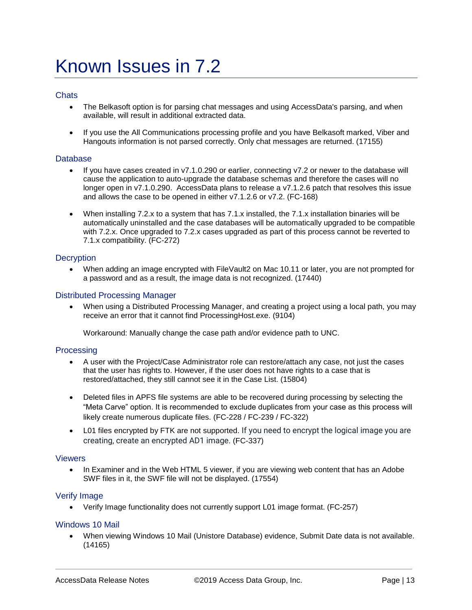# <span id="page-12-0"></span>Known Issues in 7.2

#### **Chats**

- The Belkasoft option is for parsing chat messages and using AccessData's parsing, and when available, will result in additional extracted data.
- If you use the All Communications processing profile and you have Belkasoft marked, Viber and Hangouts information is not parsed correctly. Only chat messages are returned. (17155)

#### **Database**

- If you have cases created in v7.1.0.290 or earlier, connecting v7.2 or newer to the database will cause the application to auto-upgrade the database schemas and therefore the cases will no longer open in v7.1.0.290. AccessData plans to release a v7.1.2.6 patch that resolves this issue and allows the case to be opened in either v7.1.2.6 or v7.2. (FC-168)
- When installing 7.2.x to a system that has 7.1.x installed, the 7.1.x installation binaries will be automatically uninstalled and the case databases will be automatically upgraded to be compatible with 7.2.x. Once upgraded to 7.2.x cases upgraded as part of this process cannot be reverted to 7.1.x compatibility. (FC-272)

#### **Decryption**

 When adding an image encrypted with FileVault2 on Mac 10.11 or later, you are not prompted for a password and as a result, the image data is not recognized. (17440)

#### Distributed Processing Manager

 When using a Distributed Processing Manager, and creating a project using a local path, you may receive an error that it cannot find ProcessingHost.exe. (9104)

Workaround: Manually change the case path and/or evidence path to UNC.

#### Processing

- A user with the Project/Case Administrator role can restore/attach any case, not just the cases that the user has rights to. However, if the user does not have rights to a case that is restored/attached, they still cannot see it in the Case List. (15804)
- Deleted files in APFS file systems are able to be recovered during processing by selecting the "Meta Carve" option. It is recommended to exclude duplicates from your case as this process will likely create numerous duplicate files. (FC-228 / FC-239 / FC-322)
- L01 files encrypted by FTK are not supported. If you need to encrypt the logical image you are creating, create an encrypted AD1 image. (FC-337)

#### **Viewers**

• In Examiner and in the Web HTML 5 viewer, if you are viewing web content that has an Adobe SWF files in it, the SWF file will not be displayed. (17554)

#### Verify Image

Verify Image functionality does not currently support L01 image format. (FC-257)

#### Windows 10 Mail

 When viewing Windows 10 Mail (Unistore Database) evidence, Submit Date data is not available. (14165)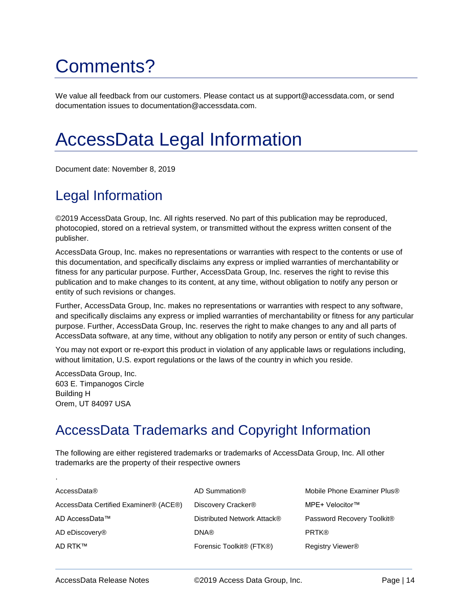# Comments?

We value all feedback from our customers. Please contact us at support@accessdata.com, or send documentation issues to documentation@accessdata.com.

# AccessData Legal Information

Document date: November 8, 2019

## Legal Information

©2019 AccessData Group, Inc. All rights reserved. No part of this publication may be reproduced, photocopied, stored on a retrieval system, or transmitted without the express written consent of the publisher.

AccessData Group, Inc. makes no representations or warranties with respect to the contents or use of this documentation, and specifically disclaims any express or implied warranties of merchantability or fitness for any particular purpose. Further, AccessData Group, Inc. reserves the right to revise this publication and to make changes to its content, at any time, without obligation to notify any person or entity of such revisions or changes.

Further, AccessData Group, Inc. makes no representations or warranties with respect to any software, and specifically disclaims any express or implied warranties of merchantability or fitness for any particular purpose. Further, AccessData Group, Inc. reserves the right to make changes to any and all parts of AccessData software, at any time, without any obligation to notify any person or entity of such changes.

You may not export or re-export this product in violation of any applicable laws or regulations including, without limitation, U.S. export regulations or the laws of the country in which you reside.

AccessData Group, Inc. 603 E. Timpanogos Circle Building H Orem, UT 84097 USA

.

# AccessData Trademarks and Copyright Information

The following are either registered trademarks or trademarks of AccessData Group, Inc. All other trademarks are the property of their respective owners

| AccessData®                           | AD Summation®                                     | Mobile Phone Examiner Plus®  |
|---------------------------------------|---------------------------------------------------|------------------------------|
| AccessData Certified Examiner® (ACE®) | Discovery Cracker®                                | MPE+ Velocitor™              |
| AD AccessData™                        | Distributed Network Attack®                       | Password Recovery Toolkit®   |
| AD eDiscovery <sup>®</sup>            | <b>DNA®</b>                                       | <b>PRTK®</b>                 |
| AD RTK™                               | Forensic Toolkit <sup>®</sup> (FTK <sup>®</sup> ) | Registry Viewer <sup>®</sup> |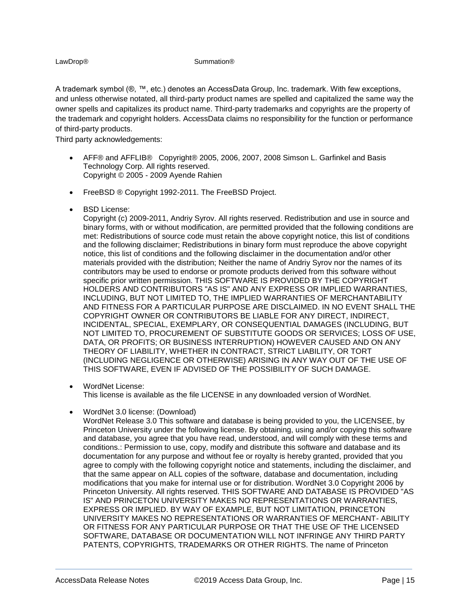#### LawDrop® Summation®

A trademark symbol (®, ™, etc.) denotes an AccessData Group, Inc. trademark. With few exceptions, and unless otherwise notated, all third-party product names are spelled and capitalized the same way the owner spells and capitalizes its product name. Third-party trademarks and copyrights are the property of the trademark and copyright holders. AccessData claims no responsibility for the function or performance of third-party products.

Third party acknowledgements:

- AFF® and AFFLIB® Copyright® 2005, 2006, 2007, 2008 Simson L. Garfinkel and Basis Technology Corp. All rights reserved. Copyright © 2005 - 2009 Ayende Rahien
- **FreeBSD ® Copyright 1992-2011. The FreeBSD Project.**
- BSD License:

Copyright (c) 2009-2011, Andriy Syrov. All rights reserved. Redistribution and use in source and binary forms, with or without modification, are permitted provided that the following conditions are met: Redistributions of source code must retain the above copyright notice, this list of conditions and the following disclaimer; Redistributions in binary form must reproduce the above copyright notice, this list of conditions and the following disclaimer in the documentation and/or other materials provided with the distribution; Neither the name of Andriy Syrov nor the names of its contributors may be used to endorse or promote products derived from this software without specific prior written permission. THIS SOFTWARE IS PROVIDED BY THE COPYRIGHT HOLDERS AND CONTRIBUTORS "AS IS" AND ANY EXPRESS OR IMPLIED WARRANTIES, INCLUDING, BUT NOT LIMITED TO, THE IMPLIED WARRANTIES OF MERCHANTABILITY AND FITNESS FOR A PARTICULAR PURPOSE ARE DISCLAIMED. IN NO EVENT SHALL THE COPYRIGHT OWNER OR CONTRIBUTORS BE LIABLE FOR ANY DIRECT, INDIRECT, INCIDENTAL, SPECIAL, EXEMPLARY, OR CONSEQUENTIAL DAMAGES (INCLUDING, BUT NOT LIMITED TO, PROCUREMENT OF SUBSTITUTE GOODS OR SERVICES; LOSS OF USE, DATA, OR PROFITS; OR BUSINESS INTERRUPTION) HOWEVER CAUSED AND ON ANY THEORY OF LIABILITY, WHETHER IN CONTRACT, STRICT LIABILITY, OR TORT (INCLUDING NEGLIGENCE OR OTHERWISE) ARISING IN ANY WAY OUT OF THE USE OF THIS SOFTWARE, EVEN IF ADVISED OF THE POSSIBILITY OF SUCH DAMAGE.

- WordNet License: This license is available as the file LICENSE in any downloaded version of WordNet.
- WordNet 3.0 license: (Download)

WordNet Release 3.0 This software and database is being provided to you, the LICENSEE, by Princeton University under the following license. By obtaining, using and/or copying this software and database, you agree that you have read, understood, and will comply with these terms and conditions.: Permission to use, copy, modify and distribute this software and database and its documentation for any purpose and without fee or royalty is hereby granted, provided that you agree to comply with the following copyright notice and statements, including the disclaimer, and that the same appear on ALL copies of the software, database and documentation, including modifications that you make for internal use or for distribution. WordNet 3.0 Copyright 2006 by Princeton University. All rights reserved. THIS SOFTWARE AND DATABASE IS PROVIDED "AS IS" AND PRINCETON UNIVERSITY MAKES NO REPRESENTATIONS OR WARRANTIES, EXPRESS OR IMPLIED. BY WAY OF EXAMPLE, BUT NOT LIMITATION, PRINCETON UNIVERSITY MAKES NO REPRESENTATIONS OR WARRANTIES OF MERCHANT- ABILITY OR FITNESS FOR ANY PARTICULAR PURPOSE OR THAT THE USE OF THE LICENSED SOFTWARE, DATABASE OR DOCUMENTATION WILL NOT INFRINGE ANY THIRD PARTY PATENTS, COPYRIGHTS, TRADEMARKS OR OTHER RIGHTS. The name of Princeton